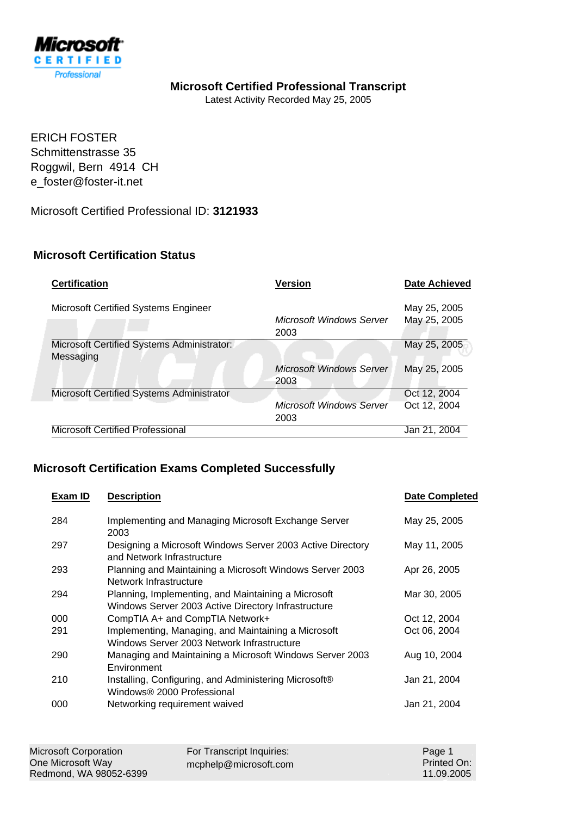

## **Microsoft Certified Professional Transcript**

Latest Activity Recorded May 25, 2005

ERICH FOSTER Schmittenstrasse 35 Roggwil, Bern 4914 CH e\_foster@foster-it.net

Microsoft Certified Professional ID: **3121933**

## **Microsoft Certification Status**

| <b>Certification</b>                                    | <b>Version</b>                          | <b>Date Achieved</b>         |
|---------------------------------------------------------|-----------------------------------------|------------------------------|
| Microsoft Certified Systems Engineer                    | <b>Microsoft Windows Server</b><br>2003 | May 25, 2005<br>May 25, 2005 |
| Microsoft Certified Systems Administrator:<br>Messaging |                                         | May 25, 2005                 |
|                                                         | <b>Microsoft Windows Server</b><br>2003 | May 25, 2005                 |
| Microsoft Certified Systems Administrator               |                                         | Oct 12, 2004                 |
|                                                         | <b>Microsoft Windows Server</b><br>2003 | Oct 12, 2004                 |
| Microsoft Certified Professional                        |                                         | Jan 21, 2004                 |

## **Microsoft Certification Exams Completed Successfully**

| Exam ID | <b>Description</b>                                                                                         | <b>Date Completed</b> |
|---------|------------------------------------------------------------------------------------------------------------|-----------------------|
| 284     | Implementing and Managing Microsoft Exchange Server<br>2003                                                | May 25, 2005          |
| 297     | Designing a Microsoft Windows Server 2003 Active Directory<br>and Network Infrastructure                   | May 11, 2005          |
| 293     | Planning and Maintaining a Microsoft Windows Server 2003<br>Network Infrastructure                         | Apr 26, 2005          |
| 294     | Planning, Implementing, and Maintaining a Microsoft<br>Windows Server 2003 Active Directory Infrastructure | Mar 30, 2005          |
| 000     | CompTIA A+ and CompTIA Network+                                                                            | Oct 12, 2004          |
| 291     | Implementing, Managing, and Maintaining a Microsoft<br>Windows Server 2003 Network Infrastructure          | Oct 06, 2004          |
| 290     | Managing and Maintaining a Microsoft Windows Server 2003<br>Environment                                    | Aug 10, 2004          |
| 210     | Installing, Configuring, and Administering Microsoft®<br>Windows® 2000 Professional                        | Jan 21, 2004          |
| 000     | Networking requirement waived                                                                              | Jan 21, 2004          |

| Microsoft Corporation  | For Transcript Inquiries: | Page 1      |
|------------------------|---------------------------|-------------|
| One Microsoft Way      | $m$ cphelp@microsoft.com  | Printed On: |
| Redmond, WA 98052-6399 |                           | 11.09.2005  |